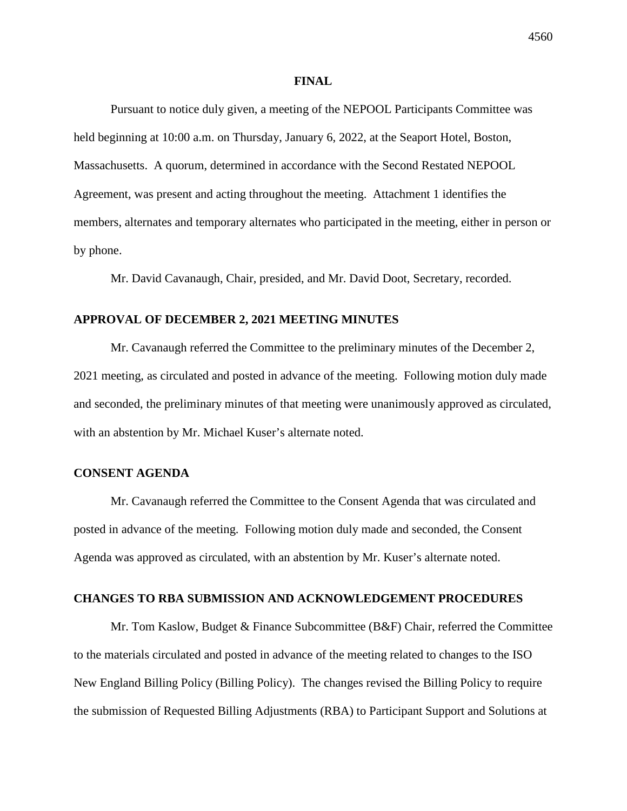#### **FINAL**

Pursuant to notice duly given, a meeting of the NEPOOL Participants Committee was held beginning at 10:00 a.m. on Thursday, January 6, 2022, at the Seaport Hotel, Boston, Massachusetts. A quorum, determined in accordance with the Second Restated NEPOOL Agreement, was present and acting throughout the meeting. Attachment 1 identifies the members, alternates and temporary alternates who participated in the meeting, either in person or by phone.

Mr. David Cavanaugh, Chair, presided, and Mr. David Doot, Secretary, recorded.

# **APPROVAL OF DECEMBER 2, 2021 MEETING MINUTES**

Mr. Cavanaugh referred the Committee to the preliminary minutes of the December 2, 2021 meeting, as circulated and posted in advance of the meeting. Following motion duly made and seconded, the preliminary minutes of that meeting were unanimously approved as circulated, with an abstention by Mr. Michael Kuser's alternate noted.

# **CONSENT AGENDA**

Mr. Cavanaugh referred the Committee to the Consent Agenda that was circulated and posted in advance of the meeting. Following motion duly made and seconded, the Consent Agenda was approved as circulated, with an abstention by Mr. Kuser's alternate noted.

# **CHANGES TO RBA SUBMISSION AND ACKNOWLEDGEMENT PROCEDURES**

Mr. Tom Kaslow, Budget  $\&$  Finance Subcommittee (B $\&$ F) Chair, referred the Committee to the materials circulated and posted in advance of the meeting related to changes to the ISO New England Billing Policy (Billing Policy). The changes revised the Billing Policy to require the submission of Requested Billing Adjustments (RBA) to Participant Support and Solutions at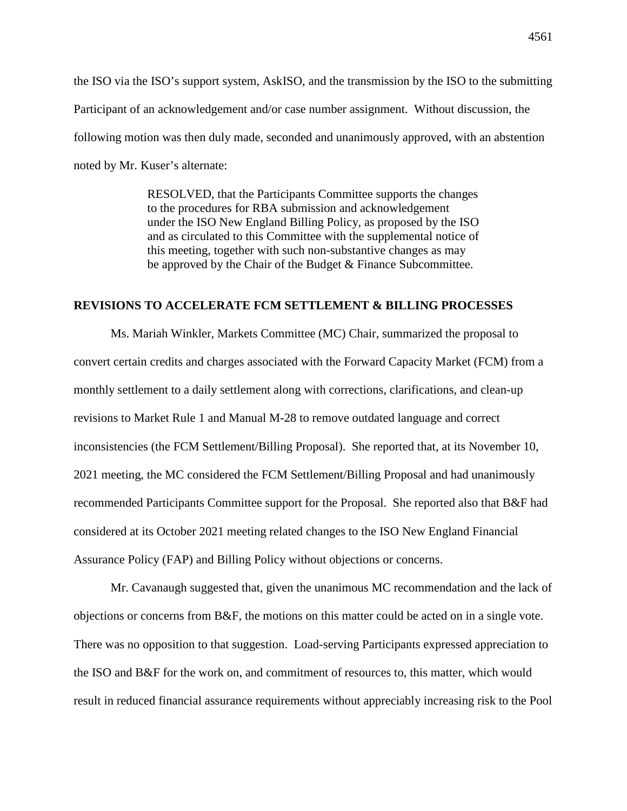the ISO via the ISO's support system, AskISO, and the transmission by the ISO to the submitting Participant of an acknowledgement and/or case number assignment. Without discussion, the following motion was then duly made, seconded and unanimously approved, with an abstention noted by Mr. Kuser's alternate:

> RESOLVED, that the Participants Committee supports the changes to the procedures for RBA submission and acknowledgement under the ISO New England Billing Policy, as proposed by the ISO and as circulated to this Committee with the supplemental notice of this meeting, together with such non-substantive changes as may be approved by the Chair of the Budget & Finance Subcommittee.

# **REVISIONS TO ACCELERATE FCM SETTLEMENT & BILLING PROCESSES**

Ms. Mariah Winkler, Markets Committee (MC) Chair, summarized the proposal to convert certain credits and charges associated with the Forward Capacity Market (FCM) from a monthly settlement to a daily settlement along with corrections, clarifications, and clean-up revisions to Market Rule 1 and Manual M-28 to remove outdated language and correct inconsistencies (the FCM Settlement/Billing Proposal). She reported that, at its November 10, 2021 meeting, the MC considered the FCM Settlement/Billing Proposal and had unanimously recommended Participants Committee support for the Proposal. She reported also that B&F had considered at its October 2021 meeting related changes to the ISO New England Financial Assurance Policy (FAP) and Billing Policy without objections or concerns.

Mr. Cavanaugh suggested that, given the unanimous MC recommendation and the lack of objections or concerns from B&F, the motions on this matter could be acted on in a single vote. There was no opposition to that suggestion. Load-serving Participants expressed appreciation to the ISO and B&F for the work on, and commitment of resources to, this matter, which would result in reduced financial assurance requirements without appreciably increasing risk to the Pool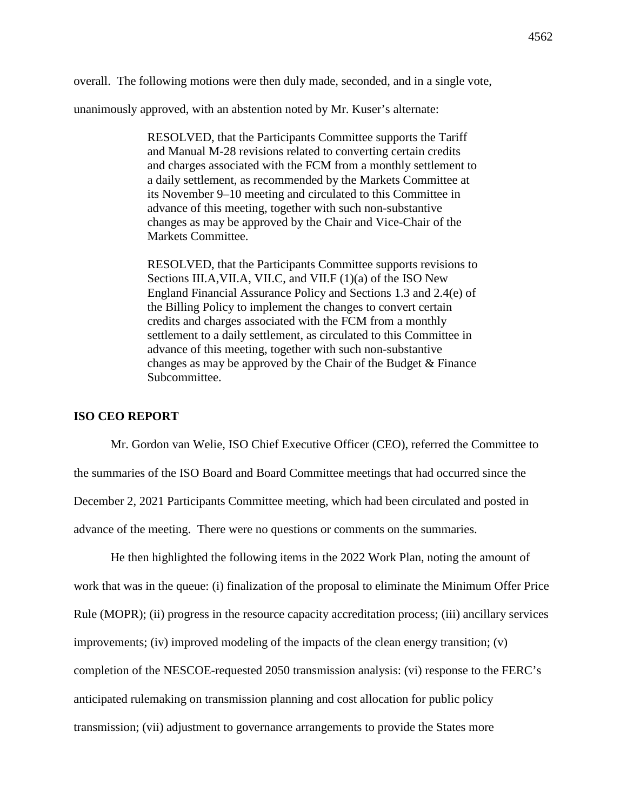overall. The following motions were then duly made, seconded, and in a single vote,

unanimously approved, with an abstention noted by Mr. Kuser's alternate:

RESOLVED, that the Participants Committee supports the Tariff and Manual M-28 revisions related to converting certain credits and charges associated with the FCM from a monthly settlement to a daily settlement, as recommended by the Markets Committee at its November 9–10 meeting and circulated to this Committee in advance of this meeting, together with such non-substantive changes as may be approved by the Chair and Vice-Chair of the Markets Committee.

RESOLVED, that the Participants Committee supports revisions to Sections III.A,VII.A, VII.C, and VII.F (1)(a) of the ISO New England Financial Assurance Policy and Sections 1.3 and 2.4(e) of the Billing Policy to implement the changes to convert certain credits and charges associated with the FCM from a monthly settlement to a daily settlement, as circulated to this Committee in advance of this meeting, together with such non-substantive changes as may be approved by the Chair of the Budget & Finance Subcommittee.

# **ISO CEO REPORT**

Mr. Gordon van Welie, ISO Chief Executive Officer (CEO), referred the Committee to the summaries of the ISO Board and Board Committee meetings that had occurred since the December 2, 2021 Participants Committee meeting, which had been circulated and posted in advance of the meeting. There were no questions or comments on the summaries.

He then highlighted the following items in the 2022 Work Plan, noting the amount of work that was in the queue: (i) finalization of the proposal to eliminate the Minimum Offer Price Rule (MOPR); (ii) progress in the resource capacity accreditation process; (iii) ancillary services improvements; (iv) improved modeling of the impacts of the clean energy transition;  $(v)$ completion of the NESCOE-requested 2050 transmission analysis: (vi) response to the FERC's anticipated rulemaking on transmission planning and cost allocation for public policy transmission; (vii) adjustment to governance arrangements to provide the States more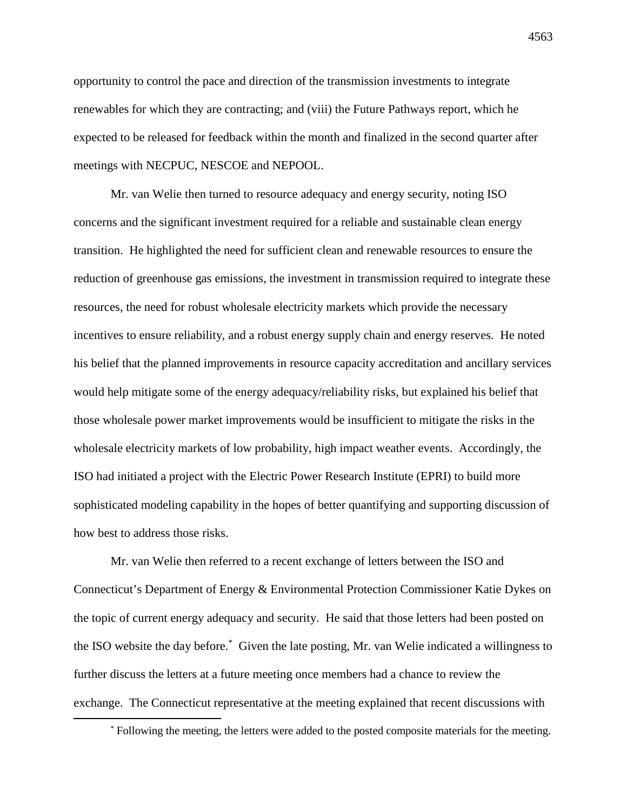opportunity to control the pace and direction of the transmission investments to integrate renewables for which they are contracting; and (viii) the Future Pathways report, which he expected to be released for feedback within the month and finalized in the second quarter after meetings with NECPUC, NESCOE and NEPOOL.

Mr. van Welie then turned to resource adequacy and energy security, noting ISO concerns and the significant investment required for a reliable and sustainable clean energy transition. He highlighted the need for sufficient clean and renewable resources to ensure the reduction of greenhouse gas emissions, the investment in transmission required to integrate these resources, the need for robust wholesale electricity markets which provide the necessary incentives to ensure reliability, and a robust energy supply chain and energy reserves. He noted his belief that the planned improvements in resource capacity accreditation and ancillary services would help mitigate some of the energy adequacy/reliability risks, but explained his belief that those wholesale power market improvements would be insufficient to mitigate the risks in the wholesale electricity markets of low probability, high impact weather events. Accordingly, the ISO had initiated a project with the Electric Power Research Institute (EPRI) to build more sophisticated modeling capability in the hopes of better quantifying and supporting discussion of how best to address those risks.

Mr. van Welie then referred to a recent exchange of letters between the ISO and Connecticut's Department of Energy & Environmental Protection Commissioner Katie Dykes on the topic of current energy adequacy and security. He said that those letters had been posted on the ISO website the day before.\* Given the late posting, Mr. van Welie indicated a willingness to further discuss the letters at a future meeting once members had a chance to review the exchange. The Connecticut representative at the meeting explained that recent discussions with

<sup>\*</sup> Following the meeting, the letters were added to the posted composite materials for the meeting.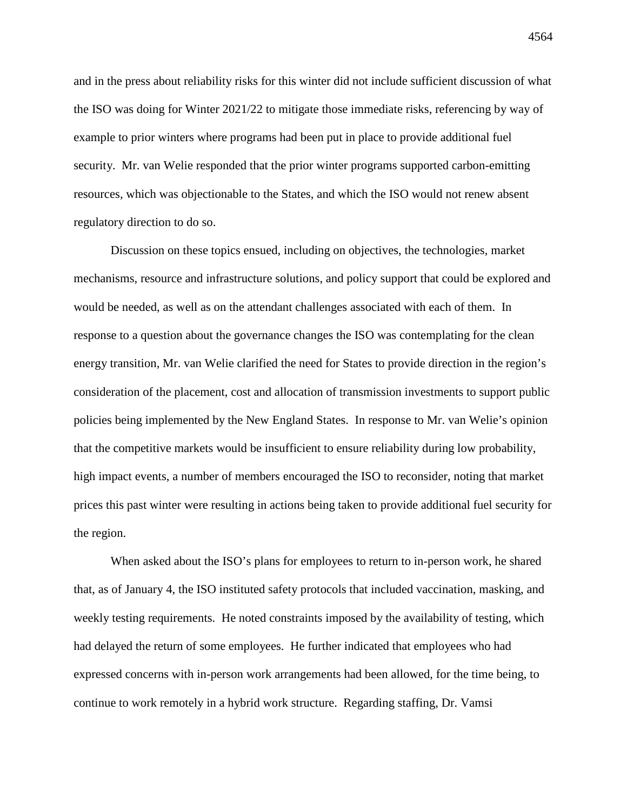and in the press about reliability risks for this winter did not include sufficient discussion of what the ISO was doing for Winter 2021/22 to mitigate those immediate risks, referencing by way of example to prior winters where programs had been put in place to provide additional fuel security. Mr. van Welie responded that the prior winter programs supported carbon-emitting resources, which was objectionable to the States, and which the ISO would not renew absent regulatory direction to do so.

Discussion on these topics ensued, including on objectives, the technologies, market mechanisms, resource and infrastructure solutions, and policy support that could be explored and would be needed, as well as on the attendant challenges associated with each of them. In response to a question about the governance changes the ISO was contemplating for the clean energy transition, Mr. van Welie clarified the need for States to provide direction in the region's consideration of the placement, cost and allocation of transmission investments to support public policies being implemented by the New England States. In response to Mr. van Welie's opinion that the competitive markets would be insufficient to ensure reliability during low probability, high impact events, a number of members encouraged the ISO to reconsider, noting that market prices this past winter were resulting in actions being taken to provide additional fuel security for the region.

When asked about the ISO's plans for employees to return to in-person work, he shared that, as of January 4, the ISO instituted safety protocols that included vaccination, masking, and weekly testing requirements. He noted constraints imposed by the availability of testing, which had delayed the return of some employees. He further indicated that employees who had expressed concerns with in-person work arrangements had been allowed, for the time being, to continue to work remotely in a hybrid work structure. Regarding staffing, Dr. Vamsi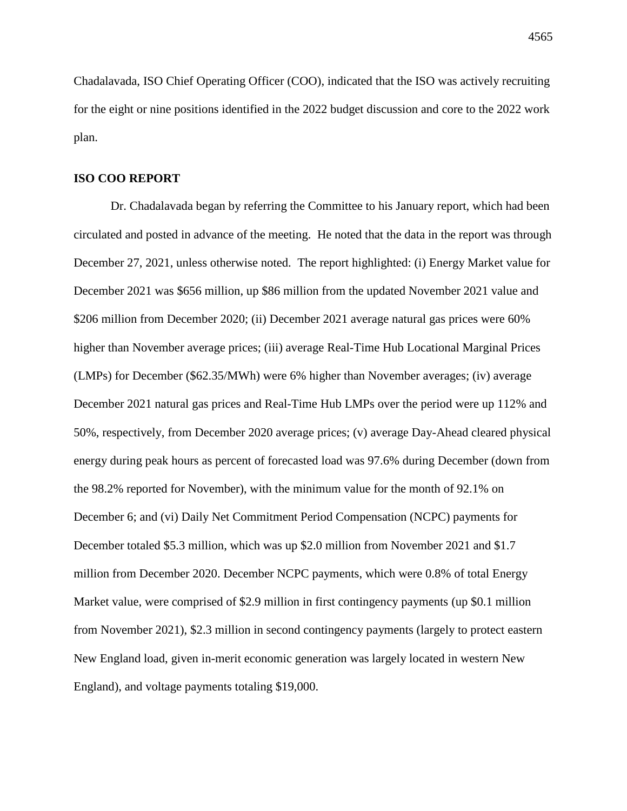Chadalavada, ISO Chief Operating Officer (COO), indicated that the ISO was actively recruiting for the eight or nine positions identified in the 2022 budget discussion and core to the 2022 work plan.

# **ISO COO REPORT**

Dr. Chadalavada began by referring the Committee to his January report, which had been circulated and posted in advance of the meeting. He noted that the data in the report was through December 27, 2021, unless otherwise noted. The report highlighted: (i) Energy Market value for December 2021 was \$656 million, up \$86 million from the updated November 2021 value and \$206 million from December 2020; (ii) December 2021 average natural gas prices were 60% higher than November average prices; (iii) average Real-Time Hub Locational Marginal Prices (LMPs) for December (\$62.35/MWh) were 6% higher than November averages; (iv) average December 2021 natural gas prices and Real-Time Hub LMPs over the period were up 112% and 50%, respectively, from December 2020 average prices; (v) average Day-Ahead cleared physical energy during peak hours as percent of forecasted load was 97.6% during December (down from the 98.2% reported for November), with the minimum value for the month of 92.1% on December 6; and (vi) Daily Net Commitment Period Compensation (NCPC) payments for December totaled \$5.3 million, which was up \$2.0 million from November 2021 and \$1.7 million from December 2020. December NCPC payments, which were 0.8% of total Energy Market value, were comprised of \$2.9 million in first contingency payments (up \$0.1 million from November 2021), \$2.3 million in second contingency payments (largely to protect eastern New England load, given in-merit economic generation was largely located in western New England), and voltage payments totaling \$19,000.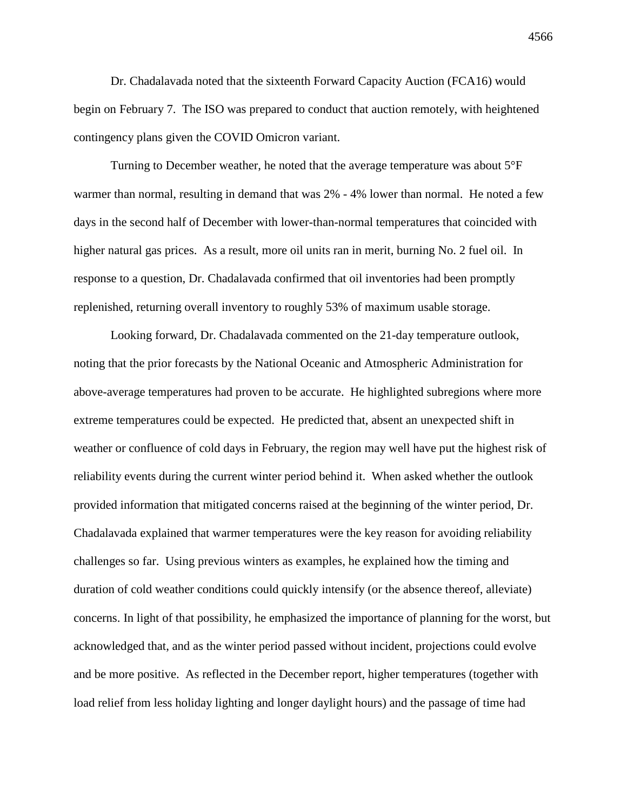Dr. Chadalavada noted that the sixteenth Forward Capacity Auction (FCA16) would begin on February 7. The ISO was prepared to conduct that auction remotely, with heightened contingency plans given the COVID Omicron variant.

Turning to December weather, he noted that the average temperature was about 5°F warmer than normal, resulting in demand that was 2% - 4% lower than normal. He noted a few days in the second half of December with lower-than-normal temperatures that coincided with higher natural gas prices. As a result, more oil units ran in merit, burning No. 2 fuel oil. In response to a question, Dr. Chadalavada confirmed that oil inventories had been promptly replenished, returning overall inventory to roughly 53% of maximum usable storage.

Looking forward, Dr. Chadalavada commented on the 21-day temperature outlook, noting that the prior forecasts by the National Oceanic and Atmospheric Administration for above-average temperatures had proven to be accurate. He highlighted subregions where more extreme temperatures could be expected. He predicted that, absent an unexpected shift in weather or confluence of cold days in February, the region may well have put the highest risk of reliability events during the current winter period behind it. When asked whether the outlook provided information that mitigated concerns raised at the beginning of the winter period, Dr. Chadalavada explained that warmer temperatures were the key reason for avoiding reliability challenges so far. Using previous winters as examples, he explained how the timing and duration of cold weather conditions could quickly intensify (or the absence thereof, alleviate) concerns. In light of that possibility, he emphasized the importance of planning for the worst, but acknowledged that, and as the winter period passed without incident, projections could evolve and be more positive. As reflected in the December report, higher temperatures (together with load relief from less holiday lighting and longer daylight hours) and the passage of time had

4566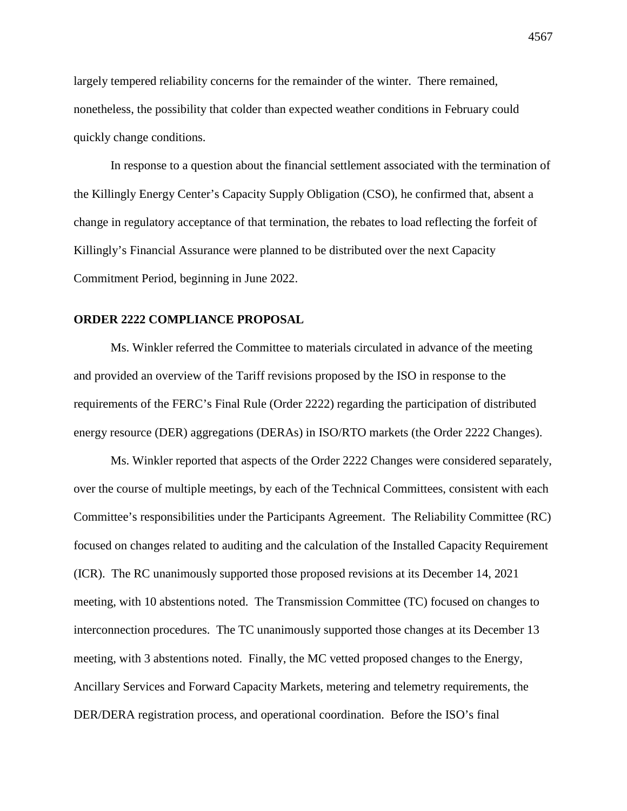largely tempered reliability concerns for the remainder of the winter. There remained, nonetheless, the possibility that colder than expected weather conditions in February could quickly change conditions.

In response to a question about the financial settlement associated with the termination of the Killingly Energy Center's Capacity Supply Obligation (CSO), he confirmed that, absent a change in regulatory acceptance of that termination, the rebates to load reflecting the forfeit of Killingly's Financial Assurance were planned to be distributed over the next Capacity Commitment Period, beginning in June 2022.

# **ORDER 2222 COMPLIANCE PROPOSAL**

Ms. Winkler referred the Committee to materials circulated in advance of the meeting and provided an overview of the Tariff revisions proposed by the ISO in response to the requirements of the FERC's Final Rule (Order 2222) regarding the participation of distributed energy resource (DER) aggregations (DERAs) in ISO/RTO markets (the Order 2222 Changes).

Ms. Winkler reported that aspects of the Order 2222 Changes were considered separately, over the course of multiple meetings, by each of the Technical Committees, consistent with each Committee's responsibilities under the Participants Agreement. The Reliability Committee (RC) focused on changes related to auditing and the calculation of the Installed Capacity Requirement (ICR). The RC unanimously supported those proposed revisions at its December 14, 2021 meeting, with 10 abstentions noted. The Transmission Committee (TC) focused on changes to interconnection procedures. The TC unanimously supported those changes at its December 13 meeting, with 3 abstentions noted. Finally, the MC vetted proposed changes to the Energy, Ancillary Services and Forward Capacity Markets, metering and telemetry requirements, the DER/DERA registration process, and operational coordination. Before the ISO's final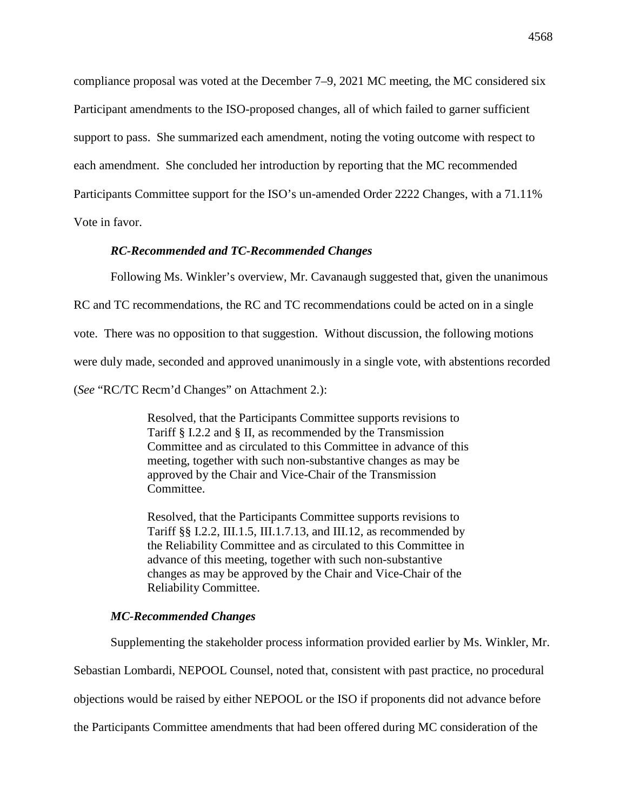compliance proposal was voted at the December 7–9, 2021 MC meeting, the MC considered six Participant amendments to the ISO-proposed changes, all of which failed to garner sufficient support to pass. She summarized each amendment, noting the voting outcome with respect to each amendment. She concluded her introduction by reporting that the MC recommended Participants Committee support for the ISO's un-amended Order 2222 Changes, with a 71.11% Vote in favor.

### *RC-Recommended and TC-Recommended Changes*

Following Ms. Winkler's overview, Mr. Cavanaugh suggested that, given the unanimous

RC and TC recommendations, the RC and TC recommendations could be acted on in a single

vote. There was no opposition to that suggestion. Without discussion, the following motions

were duly made, seconded and approved unanimously in a single vote, with abstentions recorded

(*See* "RC/TC Recm'd Changes" on Attachment 2.):

Resolved, that the Participants Committee supports revisions to Tariff § I.2.2 and § II, as recommended by the Transmission Committee and as circulated to this Committee in advance of this meeting, together with such non-substantive changes as may be approved by the Chair and Vice-Chair of the Transmission Committee.

Resolved, that the Participants Committee supports revisions to Tariff §§ I.2.2, III.1.5, III.1.7.13, and III.12, as recommended by the Reliability Committee and as circulated to this Committee in advance of this meeting, together with such non-substantive changes as may be approved by the Chair and Vice-Chair of the Reliability Committee.

### *MC-Recommended Changes*

Supplementing the stakeholder process information provided earlier by Ms. Winkler, Mr.

Sebastian Lombardi, NEPOOL Counsel, noted that, consistent with past practice, no procedural

objections would be raised by either NEPOOL or the ISO if proponents did not advance before

the Participants Committee amendments that had been offered during MC consideration of the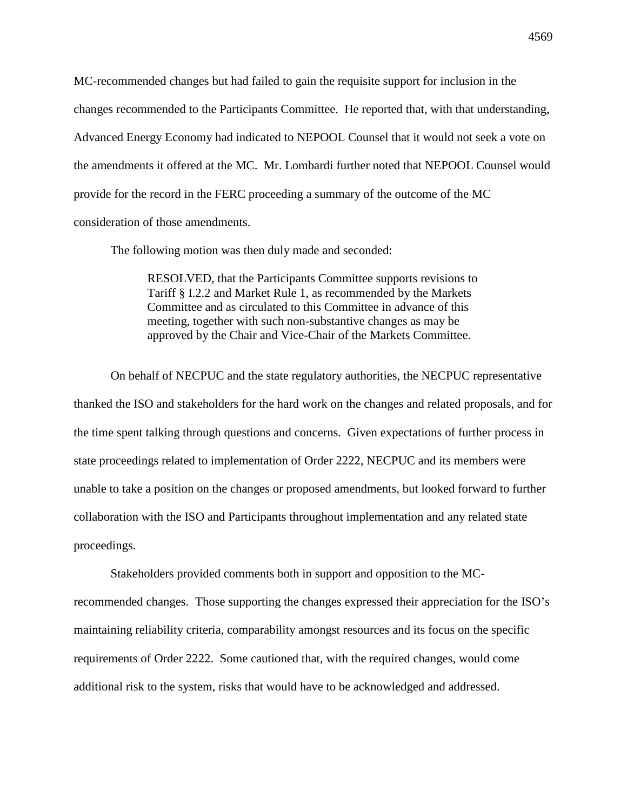MC-recommended changes but had failed to gain the requisite support for inclusion in the changes recommended to the Participants Committee. He reported that, with that understanding, Advanced Energy Economy had indicated to NEPOOL Counsel that it would not seek a vote on the amendments it offered at the MC. Mr. Lombardi further noted that NEPOOL Counsel would provide for the record in the FERC proceeding a summary of the outcome of the MC consideration of those amendments.

The following motion was then duly made and seconded:

RESOLVED, that the Participants Committee supports revisions to Tariff § I.2.2 and Market Rule 1, as recommended by the Markets Committee and as circulated to this Committee in advance of this meeting, together with such non-substantive changes as may be approved by the Chair and Vice-Chair of the Markets Committee.

On behalf of NECPUC and the state regulatory authorities, the NECPUC representative thanked the ISO and stakeholders for the hard work on the changes and related proposals, and for the time spent talking through questions and concerns. Given expectations of further process in state proceedings related to implementation of Order 2222, NECPUC and its members were unable to take a position on the changes or proposed amendments, but looked forward to further collaboration with the ISO and Participants throughout implementation and any related state proceedings.

Stakeholders provided comments both in support and opposition to the MCrecommended changes. Those supporting the changes expressed their appreciation for the ISO's maintaining reliability criteria, comparability amongst resources and its focus on the specific requirements of Order 2222. Some cautioned that, with the required changes, would come additional risk to the system, risks that would have to be acknowledged and addressed.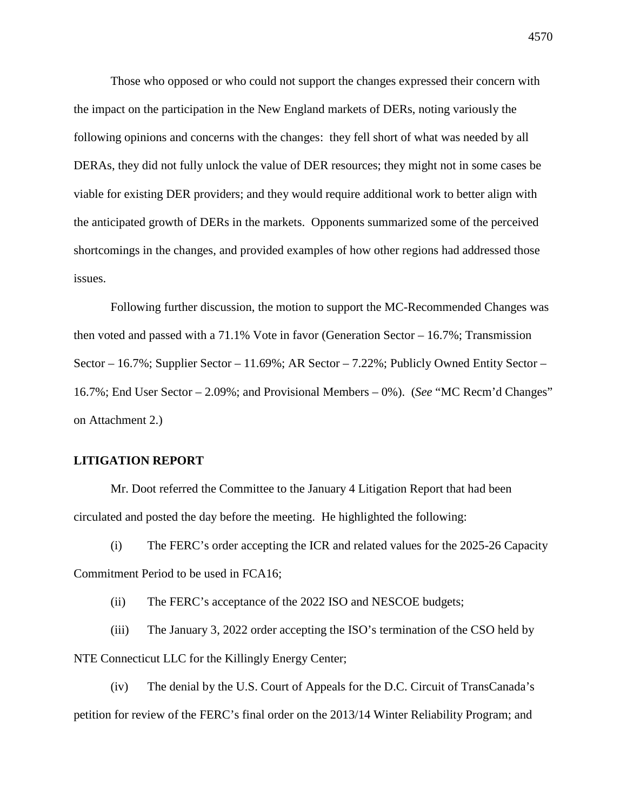Those who opposed or who could not support the changes expressed their concern with the impact on the participation in the New England markets of DERs, noting variously the following opinions and concerns with the changes: they fell short of what was needed by all DERAs, they did not fully unlock the value of DER resources; they might not in some cases be viable for existing DER providers; and they would require additional work to better align with the anticipated growth of DERs in the markets. Opponents summarized some of the perceived shortcomings in the changes, and provided examples of how other regions had addressed those issues.

Following further discussion, the motion to support the MC-Recommended Changes was then voted and passed with a 71.1% Vote in favor (Generation Sector – 16.7%; Transmission Sector – 16.7%; Supplier Sector – 11.69%; AR Sector – 7.22%; Publicly Owned Entity Sector – 16.7%; End User Sector – 2.09%; and Provisional Members – 0%). (*See* "MC Recm'd Changes" on Attachment 2.)

# **LITIGATION REPORT**

Mr. Doot referred the Committee to the January 4 Litigation Report that had been circulated and posted the day before the meeting. He highlighted the following:

(i) The FERC's order accepting the ICR and related values for the 2025-26 Capacity Commitment Period to be used in FCA16;

(ii) The FERC's acceptance of the 2022 ISO and NESCOE budgets;

(iii) The January 3, 2022 order accepting the ISO's termination of the CSO held by NTE Connecticut LLC for the Killingly Energy Center;

(iv) The denial by the U.S. Court of Appeals for the D.C. Circuit of TransCanada's petition for review of the FERC's final order on the 2013/14 Winter Reliability Program; and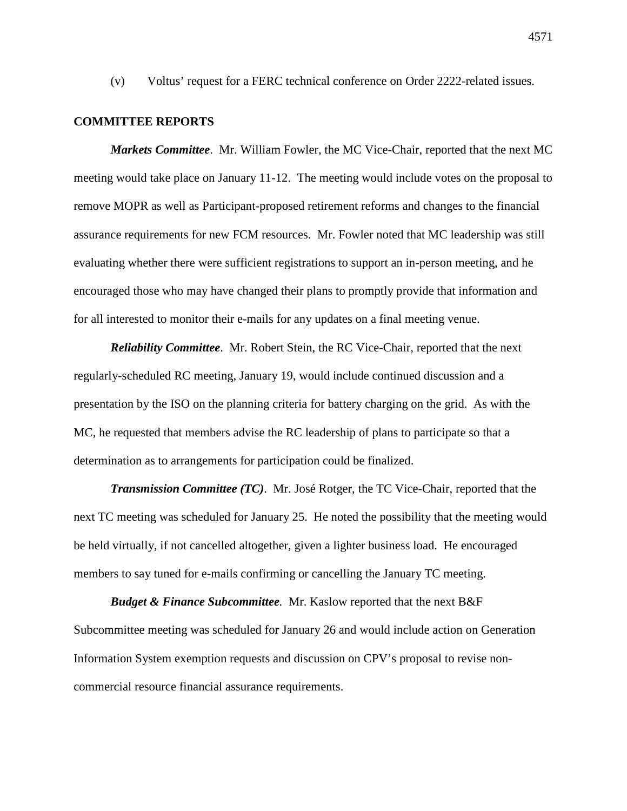(v) Voltus' request for a FERC technical conference on Order 2222-related issues.

#### **COMMITTEE REPORTS**

*Markets Committee*. Mr. William Fowler, the MC Vice-Chair, reported that the next MC meeting would take place on January 11-12. The meeting would include votes on the proposal to remove MOPR as well as Participant-proposed retirement reforms and changes to the financial assurance requirements for new FCM resources. Mr. Fowler noted that MC leadership was still evaluating whether there were sufficient registrations to support an in-person meeting, and he encouraged those who may have changed their plans to promptly provide that information and for all interested to monitor their e-mails for any updates on a final meeting venue.

*Reliability Committee*. Mr. Robert Stein, the RC Vice-Chair, reported that the next regularly-scheduled RC meeting, January 19, would include continued discussion and a presentation by the ISO on the planning criteria for battery charging on the grid. As with the MC, he requested that members advise the RC leadership of plans to participate so that a determination as to arrangements for participation could be finalized.

*Transmission Committee (TC)*. Mr. José Rotger, the TC Vice-Chair, reported that the next TC meeting was scheduled for January 25. He noted the possibility that the meeting would be held virtually, if not cancelled altogether, given a lighter business load. He encouraged members to say tuned for e-mails confirming or cancelling the January TC meeting.

*Budget & Finance Subcommittee.* Mr. Kaslow reported that the next B&F Subcommittee meeting was scheduled for January 26 and would include action on Generation Information System exemption requests and discussion on CPV's proposal to revise noncommercial resource financial assurance requirements.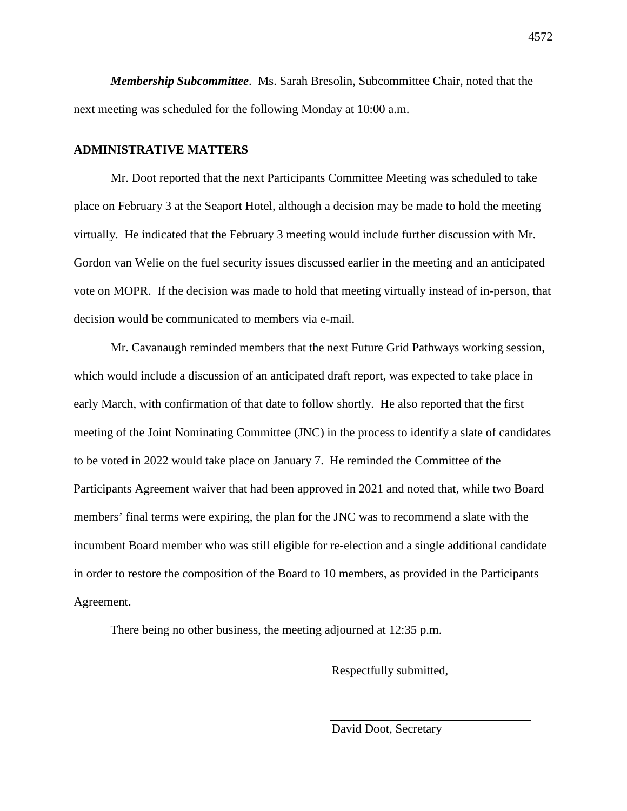*Membership Subcommittee*. Ms. Sarah Bresolin, Subcommittee Chair, noted that the next meeting was scheduled for the following Monday at 10:00 a.m.

# **ADMINISTRATIVE MATTERS**

Mr. Doot reported that the next Participants Committee Meeting was scheduled to take place on February 3 at the Seaport Hotel, although a decision may be made to hold the meeting virtually. He indicated that the February 3 meeting would include further discussion with Mr. Gordon van Welie on the fuel security issues discussed earlier in the meeting and an anticipated vote on MOPR. If the decision was made to hold that meeting virtually instead of in-person, that decision would be communicated to members via e-mail.

Mr. Cavanaugh reminded members that the next Future Grid Pathways working session, which would include a discussion of an anticipated draft report, was expected to take place in early March, with confirmation of that date to follow shortly. He also reported that the first meeting of the Joint Nominating Committee (JNC) in the process to identify a slate of candidates to be voted in 2022 would take place on January 7. He reminded the Committee of the Participants Agreement waiver that had been approved in 2021 and noted that, while two Board members' final terms were expiring, the plan for the JNC was to recommend a slate with the incumbent Board member who was still eligible for re-election and a single additional candidate in order to restore the composition of the Board to 10 members, as provided in the Participants Agreement.

There being no other business, the meeting adjourned at 12:35 p.m.

Respectfully submitted,

David Doot, Secretary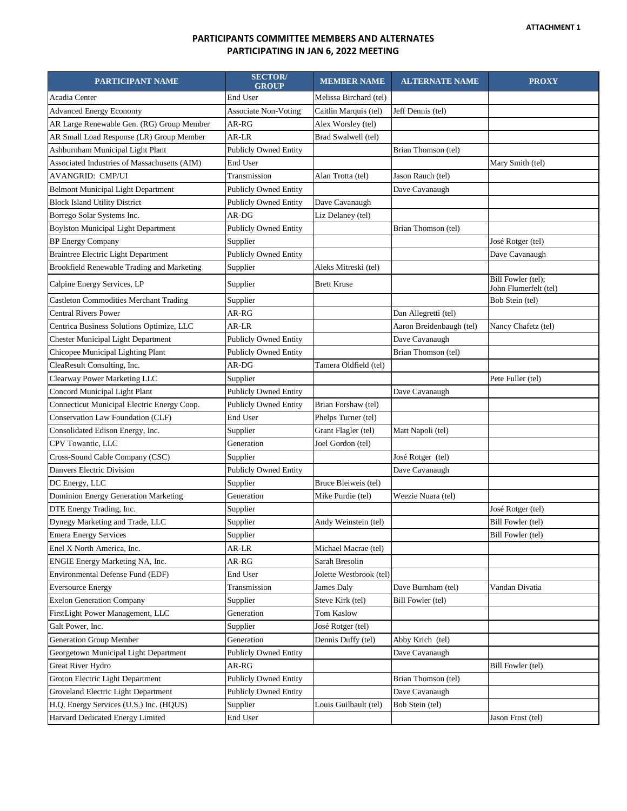### **PARTICIPANTS COMMITTEE MEMBERS AND ALTERNATES PARTICIPATING IN JAN 6, 2022 MEETING**

| PARTICIPANT NAME                              | <b>SECTOR/</b><br><b>GROUP</b> | <b>MEMBER NAME</b>      | <b>ALTERNATE NAME</b>    | <b>PROXY</b>                                |
|-----------------------------------------------|--------------------------------|-------------------------|--------------------------|---------------------------------------------|
| Acadia Center                                 | End User                       | Melissa Birchard (tel)  |                          |                                             |
| <b>Advanced Energy Economy</b>                | <b>Associate Non-Voting</b>    | Caitlin Marquis (tel)   | Jeff Dennis (tel)        |                                             |
| AR Large Renewable Gen. (RG) Group Member     | AR-RG                          | Alex Worsley (tel)      |                          |                                             |
| AR Small Load Response (LR) Group Member      | AR-LR                          | Brad Swalwell (tel)     |                          |                                             |
| Ashburnham Municipal Light Plant              | <b>Publicly Owned Entity</b>   |                         | Brian Thomson (tel)      |                                             |
| Associated Industries of Massachusetts (AIM)  | End User                       |                         |                          | Mary Smith (tel)                            |
| AVANGRID: CMP/UI                              | Transmission                   | Alan Trotta (tel)       | Jason Rauch (tel)        |                                             |
| <b>Belmont Municipal Light Department</b>     | <b>Publicly Owned Entity</b>   |                         | Dave Cavanaugh           |                                             |
| <b>Block Island Utility District</b>          | <b>Publicly Owned Entity</b>   | Dave Cavanaugh          |                          |                                             |
| Borrego Solar Systems Inc.                    | AR-DG                          | Liz Delaney (tel)       |                          |                                             |
| <b>Boylston Municipal Light Department</b>    | Publicly Owned Entity          |                         | Brian Thomson (tel)      |                                             |
| <b>BP</b> Energy Company                      | Supplier                       |                         |                          | José Rotger (tel)                           |
| Braintree Electric Light Department           | Publicly Owned Entity          |                         |                          | Dave Cavanaugh                              |
| Brookfield Renewable Trading and Marketing    | Supplier                       | Aleks Mitreski (tel)    |                          |                                             |
| Calpine Energy Services, LP                   | Supplier                       | <b>Brett Kruse</b>      |                          | Bill Fowler (tel);<br>John Flumerfelt (tel) |
| <b>Castleton Commodities Merchant Trading</b> | Supplier                       |                         |                          | Bob Stein (tel)                             |
| <b>Central Rivers Power</b>                   | AR-RG                          |                         | Dan Allegretti (tel)     |                                             |
| Centrica Business Solutions Optimize, LLC     | AR-LR                          |                         | Aaron Breidenbaugh (tel) | Nancy Chafetz (tel)                         |
| <b>Chester Municipal Light Department</b>     | <b>Publicly Owned Entity</b>   |                         | Dave Cavanaugh           |                                             |
| Chicopee Municipal Lighting Plant             | Publicly Owned Entity          |                         | Brian Thomson (tel)      |                                             |
| CleaResult Consulting, Inc.                   | AR-DG                          | Tamera Oldfield (tel)   |                          |                                             |
| Clearway Power Marketing LLC                  | Supplier                       |                         |                          | Pete Fuller (tel)                           |
| Concord Municipal Light Plant                 | <b>Publicly Owned Entity</b>   |                         | Dave Cavanaugh           |                                             |
| Connecticut Municipal Electric Energy Coop.   | <b>Publicly Owned Entity</b>   | Brian Forshaw (tel)     |                          |                                             |
| Conservation Law Foundation (CLF)             | End User                       | Phelps Turner (tel)     |                          |                                             |
| Consolidated Edison Energy, Inc.              | Supplier                       | Grant Flagler (tel)     | Matt Napoli (tel)        |                                             |
| CPV Towantic, LLC                             | Generation                     | Joel Gordon (tel)       |                          |                                             |
| Cross-Sound Cable Company (CSC)               | Supplier                       |                         | José Rotger (tel)        |                                             |
| Danvers Electric Division                     | <b>Publicly Owned Entity</b>   |                         | Dave Cavanaugh           |                                             |
| DC Energy, LLC                                | Supplier                       | Bruce Bleiweis (tel)    |                          |                                             |
| Dominion Energy Generation Marketing          | Generation                     | Mike Purdie (tel)       | Weezie Nuara (tel)       |                                             |
| DTE Energy Trading, Inc.                      | Supplier                       |                         |                          | José Rotger (tel)                           |
| Dynegy Marketing and Trade, LLC               | Supplier                       | Andy Weinstein (tel)    |                          | Bill Fowler (tel)                           |
| <b>Emera Energy Services</b>                  | Supplier                       |                         |                          | Bill Fowler (tel)                           |
| Enel X North America, Inc.                    | AR-LR                          | Michael Macrae (tel)    |                          |                                             |
| ENGIE Energy Marketing NA, Inc.               | AR-RG                          | Sarah Bresolin          |                          |                                             |
| Environmental Defense Fund (EDF)              | End User                       | Jolette Westbrook (tel) |                          |                                             |
| <b>Eversource Energy</b>                      | Transmission                   | James Daly              | Dave Burnham (tel)       | Vandan Divatia                              |
| <b>Exelon Generation Company</b>              | Supplier                       | Steve Kirk (tel)        | Bill Fowler (tel)        |                                             |
| FirstLight Power Management, LLC              | Generation                     | Tom Kaslow              |                          |                                             |
| Galt Power, Inc.                              | Supplier                       | José Rotger (tel)       |                          |                                             |
| Generation Group Member                       | Generation                     | Dennis Duffy (tel)      | Abby Krich (tel)         |                                             |
| Georgetown Municipal Light Department         | <b>Publicly Owned Entity</b>   |                         | Dave Cavanaugh           |                                             |
| Great River Hydro                             | AR-RG                          |                         |                          | Bill Fowler (tel)                           |
| Groton Electric Light Department              | <b>Publicly Owned Entity</b>   |                         | Brian Thomson (tel)      |                                             |
| Groveland Electric Light Department           | <b>Publicly Owned Entity</b>   |                         | Dave Cavanaugh           |                                             |
| H.Q. Energy Services (U.S.) Inc. (HQUS)       | Supplier                       | Louis Guilbault (tel)   | Bob Stein (tel)          |                                             |
| Harvard Dedicated Energy Limited              | End User                       |                         |                          | Jason Frost (tel)                           |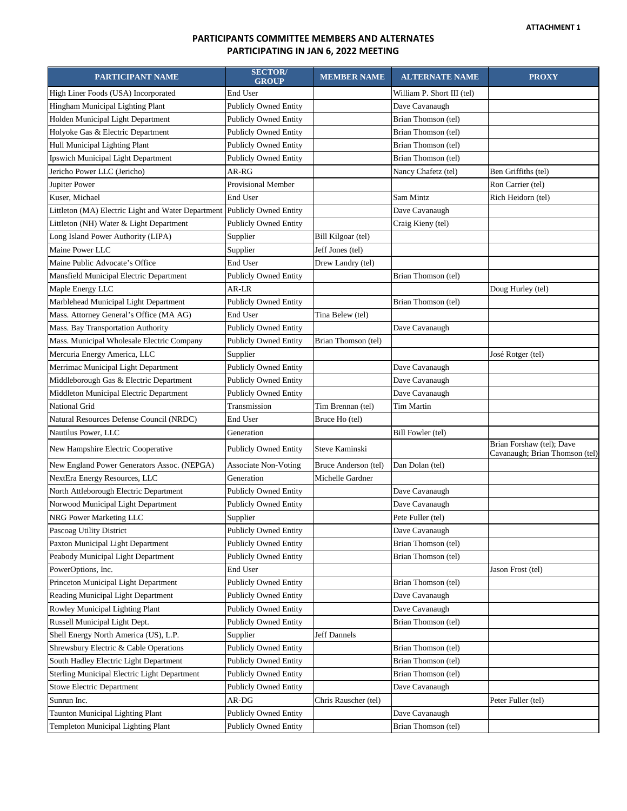### **PARTICIPANTS COMMITTEE MEMBERS AND ALTERNATES PARTICIPATING IN JAN 6, 2022 MEETING**

| PARTICIPANT NAME                                   | <b>SECTOR/</b><br><b>GROUP</b> | <b>MEMBER NAME</b>   | <b>ALTERNATE NAME</b>      | <b>PROXY</b>                                                |
|----------------------------------------------------|--------------------------------|----------------------|----------------------------|-------------------------------------------------------------|
| High Liner Foods (USA) Incorporated                | End User                       |                      | William P. Short III (tel) |                                                             |
| Hingham Municipal Lighting Plant                   | <b>Publicly Owned Entity</b>   |                      | Dave Cavanaugh             |                                                             |
| Holden Municipal Light Department                  | <b>Publicly Owned Entity</b>   |                      | Brian Thomson (tel)        |                                                             |
| Holyoke Gas & Electric Department                  | <b>Publicly Owned Entity</b>   |                      | Brian Thomson (tel)        |                                                             |
| Hull Municipal Lighting Plant                      | <b>Publicly Owned Entity</b>   |                      | Brian Thomson (tel)        |                                                             |
| Ipswich Municipal Light Department                 | <b>Publicly Owned Entity</b>   |                      | Brian Thomson (tel)        |                                                             |
| Jericho Power LLC (Jericho)                        | AR-RG                          |                      | Nancy Chafetz (tel)        | Ben Griffiths (tel)                                         |
| Jupiter Power                                      | Provisional Member             |                      |                            | Ron Carrier (tel)                                           |
| Kuser, Michael                                     | End User                       |                      | Sam Mintz                  | Rich Heidorn (tel)                                          |
| Littleton (MA) Electric Light and Water Department | <b>Publicly Owned Entity</b>   |                      | Dave Cavanaugh             |                                                             |
| Littleton (NH) Water & Light Department            | <b>Publicly Owned Entity</b>   |                      | Craig Kieny (tel)          |                                                             |
| Long Island Power Authority (LIPA)                 | Supplier                       | Bill Kilgoar (tel)   |                            |                                                             |
| Maine Power LLC                                    | Supplier                       | Jeff Jones (tel)     |                            |                                                             |
| Maine Public Advocate's Office                     | End User                       | Drew Landry (tel)    |                            |                                                             |
| Mansfield Municipal Electric Department            | <b>Publicly Owned Entity</b>   |                      | Brian Thomson (tel)        |                                                             |
| Maple Energy LLC                                   | AR-LR                          |                      |                            | Doug Hurley (tel)                                           |
| Marblehead Municipal Light Department              | <b>Publicly Owned Entity</b>   |                      | Brian Thomson (tel)        |                                                             |
| Mass. Attorney General's Office (MA AG)            | End User                       | Tina Belew (tel)     |                            |                                                             |
| Mass. Bay Transportation Authority                 | <b>Publicly Owned Entity</b>   |                      | Dave Cavanaugh             |                                                             |
| Mass. Municipal Wholesale Electric Company         | <b>Publicly Owned Entity</b>   | Brian Thomson (tel)  |                            |                                                             |
| Mercuria Energy America, LLC                       | Supplier                       |                      |                            | José Rotger (tel)                                           |
| Merrimac Municipal Light Department                | <b>Publicly Owned Entity</b>   |                      | Dave Cavanaugh             |                                                             |
| Middleborough Gas & Electric Department            | Publicly Owned Entity          |                      | Dave Cavanaugh             |                                                             |
| Middleton Municipal Electric Department            | <b>Publicly Owned Entity</b>   |                      | Dave Cavanaugh             |                                                             |
| National Grid                                      | Transmission                   | Tim Brennan (tel)    | Tim Martin                 |                                                             |
| Natural Resources Defense Council (NRDC)           | End User                       | Bruce Ho (tel)       |                            |                                                             |
| Nautilus Power, LLC                                | Generation                     |                      | Bill Fowler (tel)          |                                                             |
| New Hampshire Electric Cooperative                 | <b>Publicly Owned Entity</b>   | Steve Kaminski       |                            | Brian Forshaw (tel); Dave<br>Cavanaugh; Brian Thomson (tel) |
| New England Power Generators Assoc. (NEPGA)        | <b>Associate Non-Voting</b>    | Bruce Anderson (tel) | Dan Dolan (tel)            |                                                             |
| NextEra Energy Resources, LLC                      | Generation                     | Michelle Gardner     |                            |                                                             |
| North Attleborough Electric Department             | <b>Publicly Owned Entity</b>   |                      | Dave Cavanaugh             |                                                             |
| Norwood Municipal Light Department                 | <b>Publicly Owned Entity</b>   |                      | Dave Cavanaugh             |                                                             |
| NRG Power Marketing LLC                            | Supplier                       |                      | Pete Fuller (tel)          |                                                             |
| Pascoag Utility District                           | <b>Publicly Owned Entity</b>   |                      | Dave Cavanaugh             |                                                             |
| Paxton Municipal Light Department                  | <b>Publicly Owned Entity</b>   |                      | Brian Thomson (tel)        |                                                             |
| Peabody Municipal Light Department                 | <b>Publicly Owned Entity</b>   |                      | Brian Thomson (tel)        |                                                             |
| PowerOptions, Inc.                                 | End User                       |                      |                            | Jason Frost (tel)                                           |
| Princeton Municipal Light Department               | <b>Publicly Owned Entity</b>   |                      | Brian Thomson (tel)        |                                                             |
| Reading Municipal Light Department                 | <b>Publicly Owned Entity</b>   |                      | Dave Cavanaugh             |                                                             |
| Rowley Municipal Lighting Plant                    | <b>Publicly Owned Entity</b>   |                      | Dave Cavanaugh             |                                                             |
| Russell Municipal Light Dept.                      | <b>Publicly Owned Entity</b>   |                      | Brian Thomson (tel)        |                                                             |
| Shell Energy North America (US), L.P.              | Supplier                       | Jeff Dannels         |                            |                                                             |
| Shrewsbury Electric & Cable Operations             | <b>Publicly Owned Entity</b>   |                      | Brian Thomson (tel)        |                                                             |
| South Hadley Electric Light Department             | <b>Publicly Owned Entity</b>   |                      | Brian Thomson (tel)        |                                                             |
| Sterling Municipal Electric Light Department       | Publicly Owned Entity          |                      | Brian Thomson (tel)        |                                                             |
| <b>Stowe Electric Department</b>                   | <b>Publicly Owned Entity</b>   |                      | Dave Cavanaugh             |                                                             |
| Sunrun Inc.                                        | AR-DG                          | Chris Rauscher (tel) |                            | Peter Fuller (tel)                                          |
| <b>Taunton Municipal Lighting Plant</b>            | <b>Publicly Owned Entity</b>   |                      | Dave Cavanaugh             |                                                             |
| Templeton Municipal Lighting Plant                 | <b>Publicly Owned Entity</b>   |                      | Brian Thomson (tel)        |                                                             |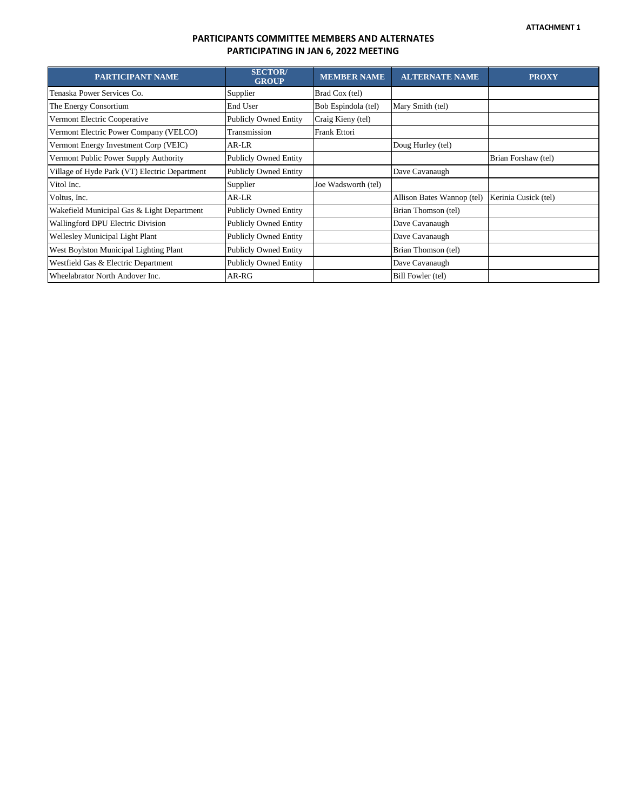### **PARTICIPANTS COMMITTEE MEMBERS AND ALTERNATES PARTICIPATING IN JAN 6, 2022 MEETING**

| <b>PARTICIPANT NAME</b>                       | <b>SECTOR</b> /<br><b>GROUP</b> | <b>MEMBER NAME</b>  | <b>ALTERNATE NAME</b>      | <b>PROXY</b>         |
|-----------------------------------------------|---------------------------------|---------------------|----------------------------|----------------------|
| Tenaska Power Services Co.                    | Supplier                        | Brad Cox (tel)      |                            |                      |
| The Energy Consortium                         | End User                        | Bob Espindola (tel) | Mary Smith (tel)           |                      |
| Vermont Electric Cooperative                  | <b>Publicly Owned Entity</b>    | Craig Kieny (tel)   |                            |                      |
| Vermont Electric Power Company (VELCO)        | Transmission                    | Frank Ettori        |                            |                      |
| Vermont Energy Investment Corp (VEIC)         | AR-LR                           |                     | Doug Hurley (tel)          |                      |
| Vermont Public Power Supply Authority         | <b>Publicly Owned Entity</b>    |                     |                            | Brian Forshaw (tel)  |
| Village of Hyde Park (VT) Electric Department | <b>Publicly Owned Entity</b>    |                     | Dave Cavanaugh             |                      |
| Vitol Inc.                                    | Supplier                        | Joe Wadsworth (tel) |                            |                      |
| Voltus, Inc.                                  | AR-LR                           |                     | Allison Bates Wannop (tel) | Kerinia Cusick (tel) |
| Wakefield Municipal Gas & Light Department    | <b>Publicly Owned Entity</b>    |                     | Brian Thomson (tel)        |                      |
| Wallingford DPU Electric Division             | <b>Publicly Owned Entity</b>    |                     | Dave Cavanaugh             |                      |
| Wellesley Municipal Light Plant               | <b>Publicly Owned Entity</b>    |                     | Dave Cavanaugh             |                      |
| West Boylston Municipal Lighting Plant        | <b>Publicly Owned Entity</b>    |                     | Brian Thomson (tel)        |                      |
| Westfield Gas & Electric Department           | <b>Publicly Owned Entity</b>    |                     | Dave Cavanaugh             |                      |
| Wheelabrator North Andover Inc.               | $AR-RG$                         |                     | Bill Fowler (tel)          |                      |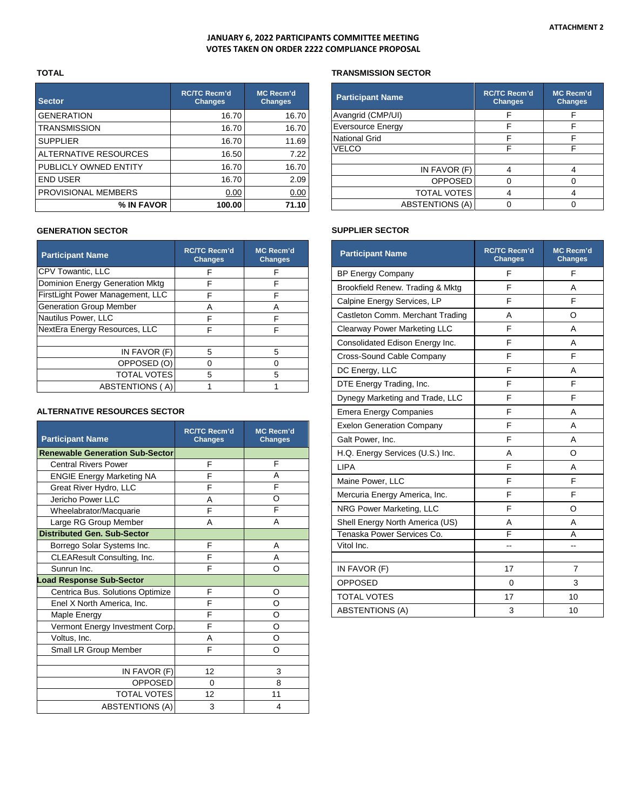#### **JANUARY 6, 2022 PARTICIPANTS COMMITTEE MEETING VOTES TAKEN ON ORDER 2222 COMPLIANCE PROPOSAL**

#### **TOTAL**

| <b>Sector</b>         | <b>RC/TC Recm'd</b><br><b>Changes</b> | <b>MC Recm'd</b><br><b>Changes</b> |
|-----------------------|---------------------------------------|------------------------------------|
| <b>GENERATION</b>     | 16.70                                 | 16.70                              |
| <b>TRANSMISSION</b>   | 16.70                                 | 16.70                              |
| <b>SUPPLIER</b>       | 16.70                                 | 11.69                              |
| ALTERNATIVE RESOURCES | 16.50                                 | 7.22                               |
| PUBLICLY OWNED ENTITY | 16.70                                 | 16.70                              |
| <b>END USER</b>       | 16.70                                 | 2.09                               |
| PROVISIONAL MEMBERS   | 0.00                                  | 0.00                               |
| % IN FAVOR            | 100.00                                | 71.10                              |

#### **GENERATION SECTOR**

| <b>Participant Name</b>          | <b>RC/TC Recm'd</b><br><b>Changes</b> | <b>MC Recm'd</b><br><b>Changes</b> |
|----------------------------------|---------------------------------------|------------------------------------|
| CPV Towantic, LLC                | F                                     | F                                  |
| Dominion Energy Generation Mktg  | F                                     | F                                  |
| FirstLight Power Management, LLC | F                                     | F                                  |
| <b>Generation Group Member</b>   | А                                     | А                                  |
| Nautilus Power, LLC              | F                                     | F                                  |
| NextEra Energy Resources, LLC    | F                                     | F                                  |
|                                  |                                       |                                    |
| IN FAVOR (F)                     | 5                                     | 5                                  |
| OPPOSED (O)                      |                                       | 0                                  |
| <b>TOTAL VOTES</b>               | 5                                     | 5                                  |
| <b>ABSTENTIONS (A)</b>           |                                       |                                    |

#### **ALTERNATIVE RESOURCES SECTOR**

| <b>Participant Name</b>                | <b>RC/TC Recm'd</b><br><b>Changes</b> | <b>MC Recm'd</b><br><b>Changes</b> |
|----------------------------------------|---------------------------------------|------------------------------------|
| <b>Renewable Generation Sub-Sector</b> |                                       |                                    |
| <b>Central Rivers Power</b>            | F                                     | F                                  |
| <b>ENGIE Energy Marketing NA</b>       | F                                     | A                                  |
| Great River Hydro, LLC                 | F                                     | F                                  |
| Jericho Power LLC                      | A                                     | O                                  |
| Wheelabrator/Macquarie                 | F                                     | F                                  |
| Large RG Group Member                  | A                                     | A                                  |
| <b>Distributed Gen. Sub-Sector</b>     |                                       |                                    |
| Borrego Solar Systems Inc.             | F                                     | A                                  |
| CLEAResult Consulting, Inc.            | F                                     | A                                  |
| Sunrun Inc.                            | F                                     | Ω                                  |
| <b>Load Response Sub-Sector</b>        |                                       |                                    |
| Centrica Bus. Solutions Optimize       | F                                     | O                                  |
| Enel X North America, Inc.             | F                                     | O                                  |
| Maple Energy                           | F                                     | O                                  |
| Vermont Energy Investment Corp.        | F                                     | O                                  |
| Voltus, Inc.                           | Α                                     | O                                  |
| Small LR Group Member                  | F                                     | Ω                                  |
|                                        |                                       |                                    |
| IN FAVOR (F)                           | 12                                    | 3                                  |
| <b>OPPOSED</b>                         | $\Omega$                              | 8                                  |
| <b>TOTAL VOTES</b>                     | 12                                    | 11                                 |
| <b>ABSTENTIONS (A)</b>                 | 3                                     | 4                                  |

#### **TRANSMISSION SECTOR**

| <b>Participant Name</b>  | <b>RC/TC Recm'd</b><br><b>Changes</b> | <b>MC Recm'd</b><br><b>Changes</b> |
|--------------------------|---------------------------------------|------------------------------------|
| Avangrid (CMP/UI)        | F                                     | F                                  |
| <b>Eversource Energy</b> | F                                     | F                                  |
| <b>National Grid</b>     | F                                     | F                                  |
| VELCO                    |                                       | F                                  |
|                          |                                       |                                    |
| IN FAVOR (F)             |                                       |                                    |
| <b>OPPOSED</b>           |                                       |                                    |
| <b>TOTAL VOTES</b>       |                                       |                                    |
| <b>ABSTENTIONS (A)</b>   |                                       |                                    |

#### **SUPPLIER SECTOR**

| <b>Participant Name</b>             | <b>RC/TC Recm'd</b><br><b>Changes</b> | <b>MC Recm'd</b><br><b>Changes</b> |
|-------------------------------------|---------------------------------------|------------------------------------|
| <b>BP Energy Company</b>            | F                                     | F                                  |
| Brookfield Renew. Trading & Mktg    | F                                     | А                                  |
| Calpine Energy Services, LP         | F                                     | F                                  |
| Castleton Comm. Merchant Trading    | A                                     | O                                  |
| <b>Clearway Power Marketing LLC</b> | F                                     | А                                  |
| Consolidated Edison Energy Inc.     | F                                     | А                                  |
| Cross-Sound Cable Company           | F                                     | E                                  |
| DC Energy, LLC                      | F                                     | A                                  |
| DTE Energy Trading, Inc.            | F                                     | F                                  |
| Dynegy Marketing and Trade, LLC     | F                                     | F                                  |
| <b>Emera Energy Companies</b>       | F                                     | A                                  |
| <b>Exelon Generation Company</b>    | F                                     | A                                  |
| Galt Power, Inc.                    | F                                     | А                                  |
| H.Q. Energy Services (U.S.) Inc.    | A                                     | O                                  |
| <b>LIPA</b>                         | F                                     | А                                  |
| Maine Power, LLC                    | F                                     | F                                  |
| Mercuria Energy America, Inc.       | F                                     | F                                  |
| NRG Power Marketing, LLC            | F                                     | O                                  |
| Shell Energy North America (US)     | A                                     | A                                  |
| Tenaska Power Services Co.          | F                                     | A                                  |
| Vitol Inc.                          | $\overline{a}$                        | ۵.                                 |
|                                     |                                       |                                    |
| IN FAVOR (F)                        | 17                                    | 7                                  |
| <b>OPPOSED</b>                      | 0                                     | 3                                  |
| <b>TOTAL VOTES</b>                  | 17                                    | 10                                 |
| <b>ABSTENTIONS (A)</b>              | 3                                     | 10                                 |